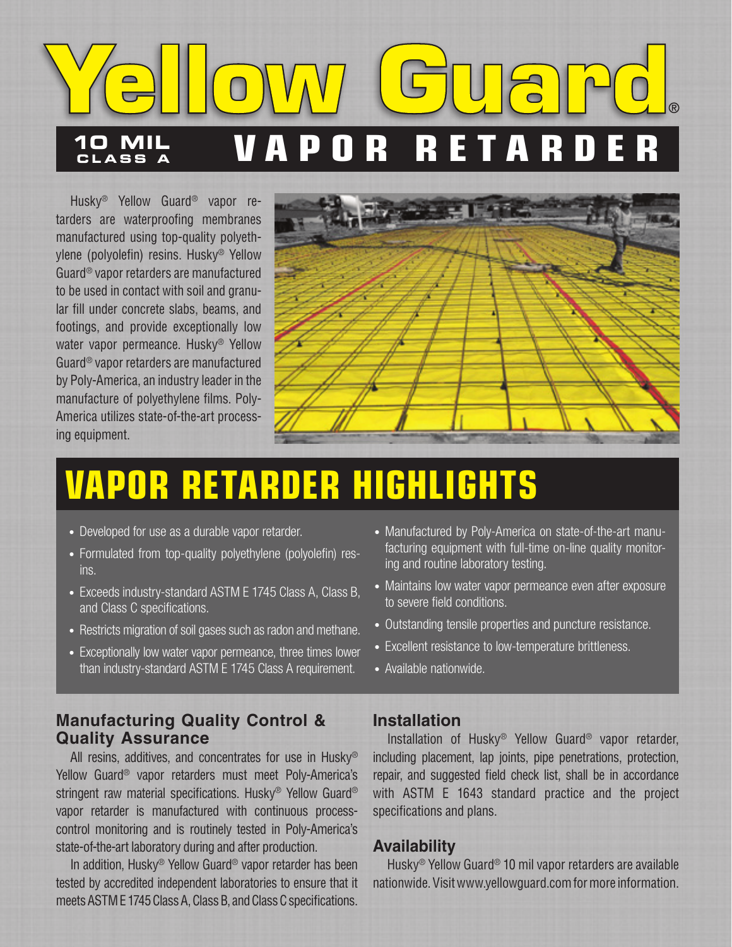

Husky® Yellow Guard® vapor retarders are waterproofing membranes manufactured using top-quality polyethylene (polyolefin) resins. Husky® Yellow Guard® vapor retarders are manufactured to be used in contact with soil and granular fill under concrete slabs, beams, and footings, and provide exceptionally low water vapor permeance. Husky® Yellow Guard® vapor retarders are manufactured by Poly-America, an industry leader in the manufacture of polyethylene films. Poly-America utilizes state-of-the-art processing equipment.



# **VAPOR RETARDER HIGHLIGHTS**

- Developed for use as a durable vapor retarder.
- Formulated from top-quality polyethylene (polyolefin) resins.
- Exceeds industry-standard ASTM E 1745 Class A, Class B, and Class C specifications.
- Restricts migration of soil gases such as radon and methane.
- Exceptionally low water vapor permeance, three times lower than industry-standard ASTM E 1745 Class A requirement.

### **Manufacturing Quality Control & Quality Assurance**

All resins, additives, and concentrates for use in Husky® Yellow Guard® vapor retarders must meet Poly-America's stringent raw material specifications. Husky<sup>®</sup> Yellow Guard<sup>®</sup> vapor retarder is manufactured with continuous processcontrol monitoring and is routinely tested in Poly-America's state-of-the-art laboratory during and after production.

In addition, Husky® Yellow Guard® vapor retarder has been tested by accredited independent laboratories to ensure that it meets ASTM E 1745 Class A, Class B, and Class C specifications.

- Manufactured by Poly-America on state-of-the-art manufacturing equipment with full-time on-line quality monitoring and routine laboratory testing.
- Maintains low water vapor permeance even after exposure to severe field conditions.
- Outstanding tensile properties and puncture resistance.
- Excellent resistance to low-temperature brittleness.
- Available nationwide.

#### **Installation**

Installation of Husky® Yellow Guard® vapor retarder, including placement, lap joints, pipe penetrations, protection, repair, and suggested field check list, shall be in accordance with ASTM E 1643 standard practice and the project specifications and plans.

#### **Availability**

Husky® Yellow Guard® 10 mil vapor retarders are available nationwide. Visit www.yellowguard.com for more information.